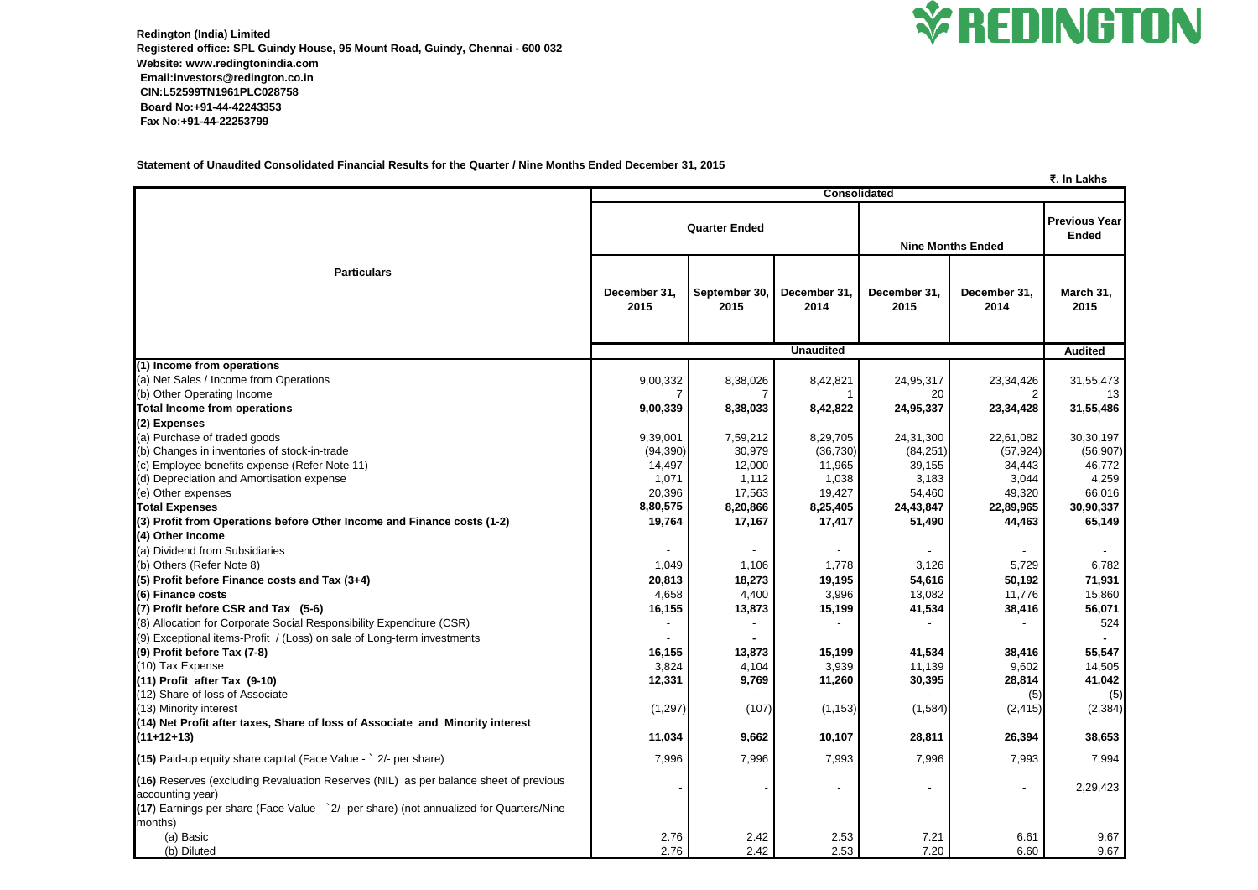

**Redington (India) Limited Registered office: SPL Guindy House, 95 Mount Road, Guindy, Chennai - 600 032 Website: www.redingtonindia.com Email:investors@redington.co.in CIN:L52599TN1961PLC028758 Board No:+91-44-42243353 Fax No:+91-44-22253799**

**Statement of Unaudited Consolidated Financial Results for the Quarter / Nine Months Ended December 31, 2015**

|                                                                                                                                                                                                                |                      |                       |                      |                          |                      | ₹. In Lakhs                          |  |  |
|----------------------------------------------------------------------------------------------------------------------------------------------------------------------------------------------------------------|----------------------|-----------------------|----------------------|--------------------------|----------------------|--------------------------------------|--|--|
|                                                                                                                                                                                                                |                      | <b>Consolidated</b>   |                      |                          |                      |                                      |  |  |
|                                                                                                                                                                                                                |                      | <b>Quarter Ended</b>  |                      | <b>Nine Months Ended</b> |                      | <b>Previous Year</b><br><b>Ended</b> |  |  |
| <b>Particulars</b>                                                                                                                                                                                             | December 31,<br>2015 | September 30,<br>2015 | December 31,<br>2014 | December 31,<br>2015     | December 31,<br>2014 | March 31,<br>2015                    |  |  |
|                                                                                                                                                                                                                | <b>Unaudited</b>     |                       |                      |                          |                      | <b>Audited</b>                       |  |  |
| (1) Income from operations                                                                                                                                                                                     |                      |                       |                      |                          |                      |                                      |  |  |
| (a) Net Sales / Income from Operations                                                                                                                                                                         | 9,00,332             | 8,38,026              | 8,42,821             | 24,95,317                | 23,34,426            | 31,55,473                            |  |  |
| (b) Other Operating Income                                                                                                                                                                                     |                      |                       |                      | 20                       |                      | 13 <sup>°</sup>                      |  |  |
| <b>Total Income from operations</b>                                                                                                                                                                            | 9,00,339             | 8,38,033              | 8,42,822             | 24,95,337                | 23, 34, 428          | 31,55,486                            |  |  |
| (2) Expenses                                                                                                                                                                                                   |                      |                       |                      |                          |                      |                                      |  |  |
| (a) Purchase of traded goods                                                                                                                                                                                   | 9,39,001             | 7,59,212              | 8,29,705             | 24,31,300                | 22,61,082            | 30, 30, 197                          |  |  |
| (b) Changes in inventories of stock-in-trade                                                                                                                                                                   | (94, 390)            | 30,979                | (36, 730)            | (84, 251)                | (57, 924)            | (56, 907)                            |  |  |
| (c) Employee benefits expense (Refer Note 11)                                                                                                                                                                  | 14,497               | 12,000                | 11,965               | 39,155                   | 34,443               | 46,772                               |  |  |
| (d) Depreciation and Amortisation expense                                                                                                                                                                      | 1,071                | 1,112                 | 1,038                | 3,183                    | 3,044                | 4,259                                |  |  |
| (e) Other expenses                                                                                                                                                                                             | 20,396               | 17,563                | 19,427               | 54,460                   | 49,320               | 66,016                               |  |  |
| <b>Total Expenses</b>                                                                                                                                                                                          | 8,80,575             | 8,20,866              | 8,25,405             | 24,43,847                | 22,89,965            | 30,90,337                            |  |  |
| (3) Profit from Operations before Other Income and Finance costs (1-2)                                                                                                                                         | 19,764               | 17,167                | 17,417               | 51,490                   | 44,463               | 65,149                               |  |  |
| (4) Other Income                                                                                                                                                                                               |                      |                       |                      |                          |                      |                                      |  |  |
| (a) Dividend from Subsidiaries                                                                                                                                                                                 |                      |                       |                      |                          |                      |                                      |  |  |
| (b) Others (Refer Note 8)                                                                                                                                                                                      | 1,049                | 1,106                 | 1,778                | 3,126                    | 5,729                | 6,782                                |  |  |
| $(5)$ Profit before Finance costs and Tax $(3+4)$                                                                                                                                                              | 20,813               | 18,273                | 19,195               | 54,616                   | 50,192               | 71,931                               |  |  |
| (6) Finance costs                                                                                                                                                                                              | 4,658                | 4,400                 | 3,996                | 13,082                   | 11,776               | 15,860                               |  |  |
| $(7)$ Profit before CSR and Tax $(5-6)$                                                                                                                                                                        | 16,155               | 13,873                | 15,199               | 41,534                   | 38,416               | 56,071                               |  |  |
| (8) Allocation for Corporate Social Responsibility Expenditure (CSR)                                                                                                                                           |                      |                       |                      |                          |                      | 524                                  |  |  |
| (9) Exceptional items-Profit / (Loss) on sale of Long-term investments                                                                                                                                         |                      |                       |                      |                          |                      |                                      |  |  |
| $(9)$ Profit before Tax $(7-8)$                                                                                                                                                                                | 16,155               | 13,873                | 15,199               | 41,534                   | 38,416               | 55,547                               |  |  |
| (10) Tax Expense                                                                                                                                                                                               | 3,824                | 4,104                 | 3,939                | 11,139                   | 9,602                | 14,505                               |  |  |
| $(11)$ Profit after Tax $(9-10)$                                                                                                                                                                               | 12,331               | 9,769                 | 11,260               | 30,395                   | 28,814               | 41,042                               |  |  |
| (12) Share of loss of Associate                                                                                                                                                                                |                      |                       |                      |                          | (5)                  | (5)                                  |  |  |
| (13) Minority interest                                                                                                                                                                                         | (1, 297)             | (107)                 | (1, 153)             | (1,584)                  | (2, 415)             | (2, 384)                             |  |  |
| (14) Net Profit after taxes, Share of loss of Associate and Minority interest                                                                                                                                  |                      |                       |                      |                          |                      |                                      |  |  |
| $(11+12+13)$                                                                                                                                                                                                   | 11,034               | 9,662                 | 10,107               | 28,811                   | 26,394               | 38,653                               |  |  |
| $(15)$ Paid-up equity share capital (Face Value - $\degree$ 2/- per share)                                                                                                                                     | 7,996                | 7,996                 | 7,993                | 7,996                    | 7,993                | 7,994                                |  |  |
| (16) Reserves (excluding Revaluation Reserves (NIL) as per balance sheet of previous<br>accounting year)<br>(17) Earnings per share (Face Value - `2/- per share) (not annualized for Quarters/Nine<br>months) |                      |                       |                      |                          | $\blacksquare$       | 2,29,423                             |  |  |
| (a) Basic                                                                                                                                                                                                      | 2.76                 | 2.42                  | 2.53                 | 7.21                     | 6.61                 | 9.67                                 |  |  |
| (b) Diluted                                                                                                                                                                                                    | 2.76                 | 2.42                  | 2.53                 | 7.20                     | 6.60                 | 9.67                                 |  |  |

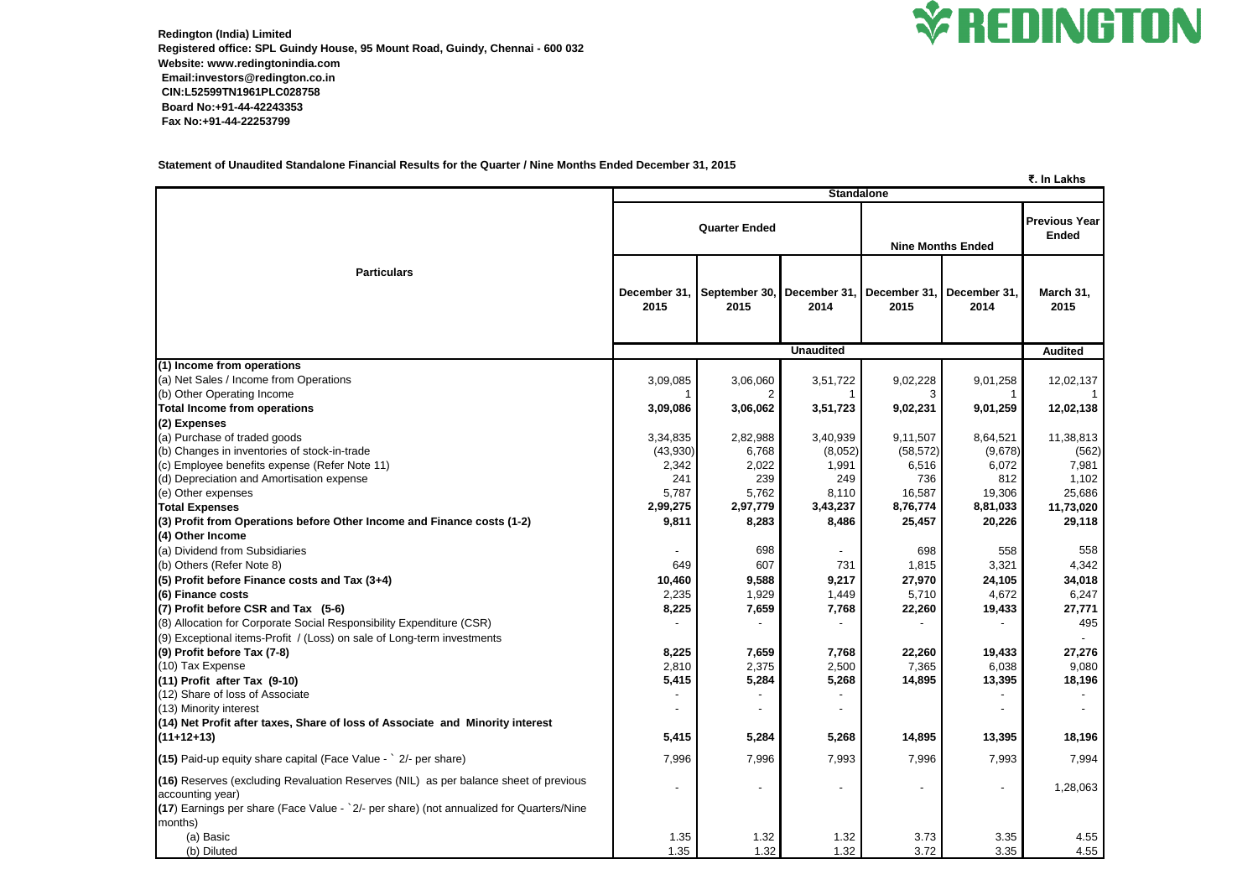

**Redington (India) Limited Registered office: SPL Guindy House, 95 Mount Road, Guindy, Chennai - 600 032 Website: www.redingtonindia.com Email:investors@redington.co.in CIN:L52599TN1961PLC028758 Board No:+91-44-42243353 Fax No:+91-44-22253799**

**Statement of Unaudited Standalone Financial Results for the Quarter / Nine Months Ended December 31, 2015**

## **₹. In Lakhs**

|                                                                                                                                                                                                                   |                      |                       |                      |                          |                     | <u>そ. In Lakhs</u>                   |
|-------------------------------------------------------------------------------------------------------------------------------------------------------------------------------------------------------------------|----------------------|-----------------------|----------------------|--------------------------|---------------------|--------------------------------------|
| <b>Standalone</b>                                                                                                                                                                                                 |                      |                       |                      |                          |                     |                                      |
|                                                                                                                                                                                                                   | <b>Quarter Ended</b> |                       |                      | <b>Nine Months Ended</b> |                     | <b>Previous Year</b><br><b>Ended</b> |
| <b>Particulars</b>                                                                                                                                                                                                | December 31<br>2015  | September 30,<br>2015 | December 31.<br>2014 | December 31,<br>2015     | December 31<br>2014 | March 31,<br>2015                    |
|                                                                                                                                                                                                                   |                      |                       | <b>Unaudited</b>     |                          |                     |                                      |
|                                                                                                                                                                                                                   |                      | <b>Audited</b>        |                      |                          |                     |                                      |
| (1) Income from operations<br>(a) Net Sales / Income from Operations<br>(b) Other Operating Income                                                                                                                | 3,09,085             | 3,06,060              | 3,51,722             | 9,02,228<br>3            | 9,01,258            | 12,02,137                            |
| Total Income from operations                                                                                                                                                                                      | 3,09,086             | 3,06,062              | 3,51,723             | 9,02,231                 | 9,01,259            | 12,02,138                            |
| (2) Expenses                                                                                                                                                                                                      |                      |                       |                      |                          |                     |                                      |
| (a) Purchase of traded goods                                                                                                                                                                                      | 3,34,835             | 2,82,988              | 3,40,939             | 9,11,507                 | 8,64,521            | 11,38,813                            |
| (b) Changes in inventories of stock-in-trade                                                                                                                                                                      | (43,930)             | 6,768                 | (8,052)              | (58, 572)                | (9,678)             | (562)                                |
| (c) Employee benefits expense (Refer Note 11)                                                                                                                                                                     | 2,342                | 2,022                 | 1,991                | 6,516                    | 6,072               | 7,981                                |
| (d) Depreciation and Amortisation expense                                                                                                                                                                         | 241                  | 239                   | 249                  | 736                      | 812                 | 1,102                                |
| (e) Other expenses                                                                                                                                                                                                | 5,787                | 5,762                 | 8,110                | 16,587                   | 19,306              | 25,686                               |
| <b>Total Expenses</b>                                                                                                                                                                                             | 2,99,275             | 2,97,779              | 3,43,237             | 8,76,774                 | 8,81,033            | 11,73,020                            |
| (3) Profit from Operations before Other Income and Finance costs (1-2)                                                                                                                                            | 9,811                | 8,283                 | 8,486                | 25,457                   | 20,226              | 29,118                               |
| (4) Other Income                                                                                                                                                                                                  |                      |                       |                      |                          |                     |                                      |
| (a) Dividend from Subsidiaries                                                                                                                                                                                    |                      | 698                   |                      | 698                      | 558                 | 558                                  |
| (b) Others (Refer Note 8)                                                                                                                                                                                         | 649                  | 607                   | 731                  | 1,815                    | 3,321               | 4,342                                |
| $(5)$ Profit before Finance costs and Tax $(3+4)$                                                                                                                                                                 | 10,460               | 9,588                 | 9,217                | 27,970                   | 24,105              | 34,018                               |
| (6) Finance costs                                                                                                                                                                                                 | 2,235                | 1,929                 | 1,449                | 5,710                    | 4,672               | 6,247                                |
| $(7)$ Profit before CSR and Tax $(5-6)$                                                                                                                                                                           | 8,225                | 7,659                 | 7,768                | 22,260                   | 19,433              | 27,771                               |
| (8) Allocation for Corporate Social Responsibility Expenditure (CSR)                                                                                                                                              |                      |                       |                      |                          |                     | 495                                  |
| (9) Exceptional items-Profit / (Loss) on sale of Long-term investments                                                                                                                                            |                      |                       |                      |                          |                     |                                      |
| (9) Profit before Tax (7-8)                                                                                                                                                                                       | 8,225                | 7,659                 | 7,768                | 22,260                   | 19,433              | 27,276                               |
| (10) Tax Expense                                                                                                                                                                                                  | 2,810                | 2,375                 | 2,500                | 7,365                    | 6,038               | 9,080                                |
| $(11)$ Profit after Tax $(9-10)$                                                                                                                                                                                  | 5,415                | 5,284                 | 5,268                | 14,895                   | 13,395              | 18,196                               |
| (12) Share of loss of Associate                                                                                                                                                                                   |                      |                       |                      |                          |                     |                                      |
| (13) Minority interest                                                                                                                                                                                            |                      |                       |                      |                          |                     |                                      |
| (14) Net Profit after taxes, Share of loss of Associate and Minority interest                                                                                                                                     |                      |                       |                      |                          |                     |                                      |
| $(11+12+13)$                                                                                                                                                                                                      | 5,415                | 5,284                 | 5,268                | 14,895                   | 13,395              | 18,196                               |
| $(15)$ Paid-up equity share capital (Face Value - $\degree$ 2/- per share)                                                                                                                                        | 7,996                | 7,996                 | 7,993                | 7,996                    | 7,993               | 7,994                                |
| (16) Reserves (excluding Revaluation Reserves (NIL) as per balance sheet of previous<br>accounting year)<br>$(17)$ Earnings per share (Face Value - $2/-$ per share) (not annualized for Quarters/Nine<br>months) | $\blacksquare$       |                       |                      | $\blacksquare$           | $\blacksquare$      | 1,28,063                             |
| (a) Basic                                                                                                                                                                                                         | 1.35                 | 1.32                  | 1.32                 | 3.73                     | 3.35                | 4.55                                 |
| (b) Diluted                                                                                                                                                                                                       | 1.35                 | 1.32                  | 1.32                 | 3.72                     | 3.35                | 4.55                                 |